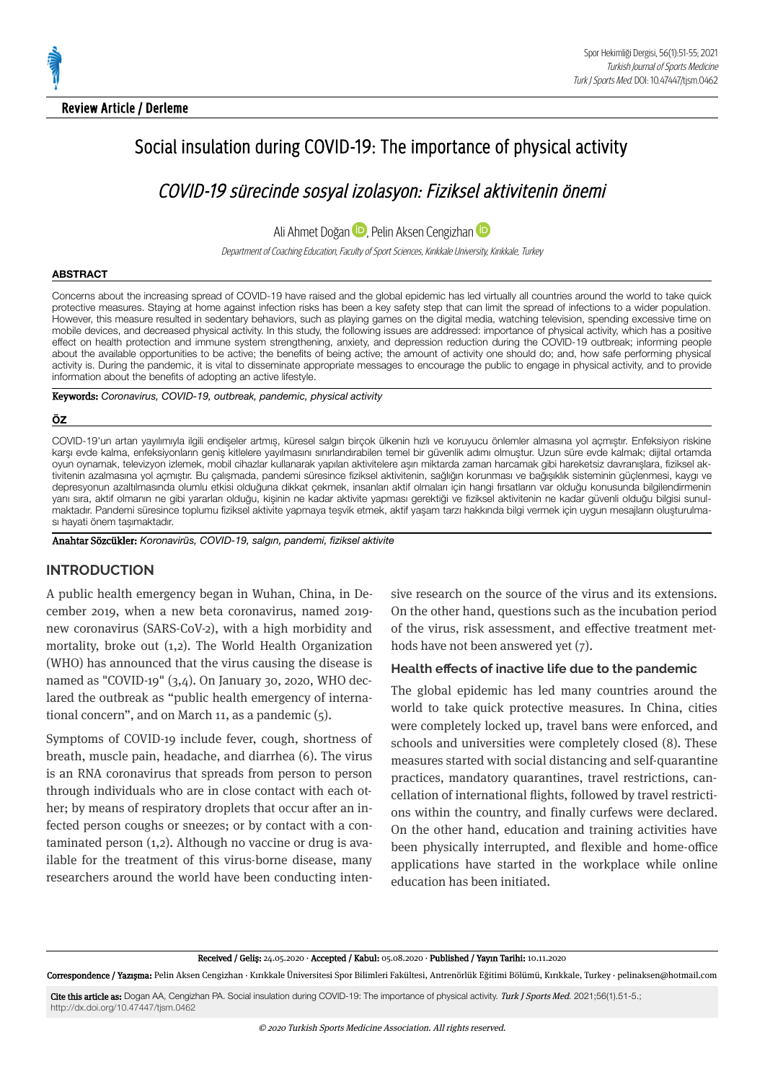# Social insulation during COVID-19: The importance of physical activity

COVID-19 sürecinde sosval izolasvon: Fiziksel aktivitenin önemi

Ali Ahmet Doğan **D**[,](https://orcid.org/0000-0002-7015-8271) Pelin Aksen Cengizhan **D** 

Department of Coaching Education, Faculty of Sport Sciences, Kırıkkale University, Kırıkkale, Turkey

## **ABSTRACT**

Concerns about the increasing spread of COVID-19 have raised and the global epidemic has led virtually all countries around the world to take quick protective measures. Staying at home against infection risks has been a key safety step that can limit the spread of infections to a wider population. However, this measure resulted in sedentary behaviors, such as playing games on the digital media, watching television, spending excessive time on mobile devices, and decreased physical activity. In this study, the following issues are addressed: importance of physical activity, which has a positive effect on health protection and immune system strengthening, anxiety, and depression reduction during the COVID-19 outbreak; informing people about the available opportunities to be active; the benefits of being active; the amount of activity one should do; and, how safe performing physical activity is. During the pandemic, it is vital to disseminate appropriate messages to encourage the public to engage in physical activity, and to provide information about the benefits of adopting an active lifestyle.

Keywords: *Coronavirus, COVID-19, outbreak, pandemic, physical activity*

## **ÖZ**

COVID-19'un artan yayılımıyla ilgili endişeler artmış, küresel salgın birçok ülkenin hızlı ve koruyucu önlemler almasına yol açmıştır. Enfeksiyon riskine karşı evde kalma, enfeksiyonların geniş kitlelere yayılmasını sınırlandırabilen temel bir güvenlik adımı olmuştur. Uzun süre evde kalmak; dijital ortamda oyun oynamak, televizyon izlemek, mobil cihazlar kullanarak yapılan aktivitelere aşırı miktarda zaman harcamak gibi hareketsiz davranışlara, fiziksel ak‐ tivitenin azalmasına yol açmıştır. Bu çalışmada, pandemi süresince fiziksel aktivitenin, sağlığın korunması ve bağışıklık sisteminin güçlenmesi, kaygı ve depresyonun azaltılmasında olumlu etkisi olduğuna dikkat çekmek, insanları aktif olmaları için hangi fırsatların var olduğu konusunda bilgilendirmenin yanı sıra, aktif olmanın ne gibi yararları olduğu, kişinin ne kadar aktivite yapması gerektiği ve fiziksel aktivitenin ne kadar güvenli olduğu bilgisi sunulmaktadır. Pandemi süresince toplumu fiziksel aktivite yapmaya teşvik etmek, aktif yaşam tarzı hakkında bilgi vermek için uygun mesajların oluşturulma‐ sı hayati önem taşımaktadır.

Anahtar Sözcükler: *Koronavirüs, COVID-19, salgın, pandemi, fiziksel aktivite*

# **INTRODUCTION**

A public health emergency began in Wuhan, China, in December 2019, when a new beta coronavirus, named 2019new coronavirus (SARS-CoV-2), with a high morbidity and mortality, broke out  $(1,2)$ . The World Health Organization (WHO) has announced that the virus causing the disease is named as "COVID-19" (3,4). On January 30, 2020, WHO declared the outbreak as "public health emergency of international concern", and on March 11, as a pandemic  $(5)$ .

Symptoms of COVID-19 include fever, cough, shortness of breath, muscle pain, headache, and diarrhea (6). The virus is an RNA coronavirus that spreads from person to person through individuals who are in close contact with each other; by means of respiratory droplets that occur after an infected person coughs or sneezes; or by contact wth a contaminated person  $(1,2)$ . Although no vaccine or drug is available for the treatment of this virus-borne disease, many researchers around the world have been conducting intensive research on the source of the virus and its extensions. On the other hand, questions such as the incubation period of the virus, risk assessment, and effective treatment methods have not been answered yet (7).

## **Health effects of inactive life due to the pandemic**

The global epidemic has led many countries around the world to take quick protective measures. In China, cities were completely locked up, travel bans were enforced, and schools and universities were completely closed  $(8)$ . These measures started with social distancing and self-quarantine practices, mandatory quarantines, travel restrictions, cancellation of international flights, followed by travel restrictions within the country, and finally curfews were declared. On the other hand, education and training activities have been physically interrupted, and flexible and home-office applications have started in the workplace while online education has been initiated.

Received / Geliş: 24.05.2020 · Accepted / Kabul: 05.08.2020 · Published / Yayın Tarihi: 10.11.2020

Correspondence / Yazışma: Pelin Aksen Cengizhan · Kırıkkale Üniversitesi Spor Bilimleri Fakültesi, Antrenörlük Eğitimi Bölümü, Kırıkkale, Turkey · pelinaksen@hotmail.com

Cite this article as: Dogan AA, Cengizhan PA. Social insulation during COVID-19: The importance of physical activity. Turk J Sports Med. 2021;56(1).51-5.; <http://dx.doi.org/10.47447/tjsm.0462>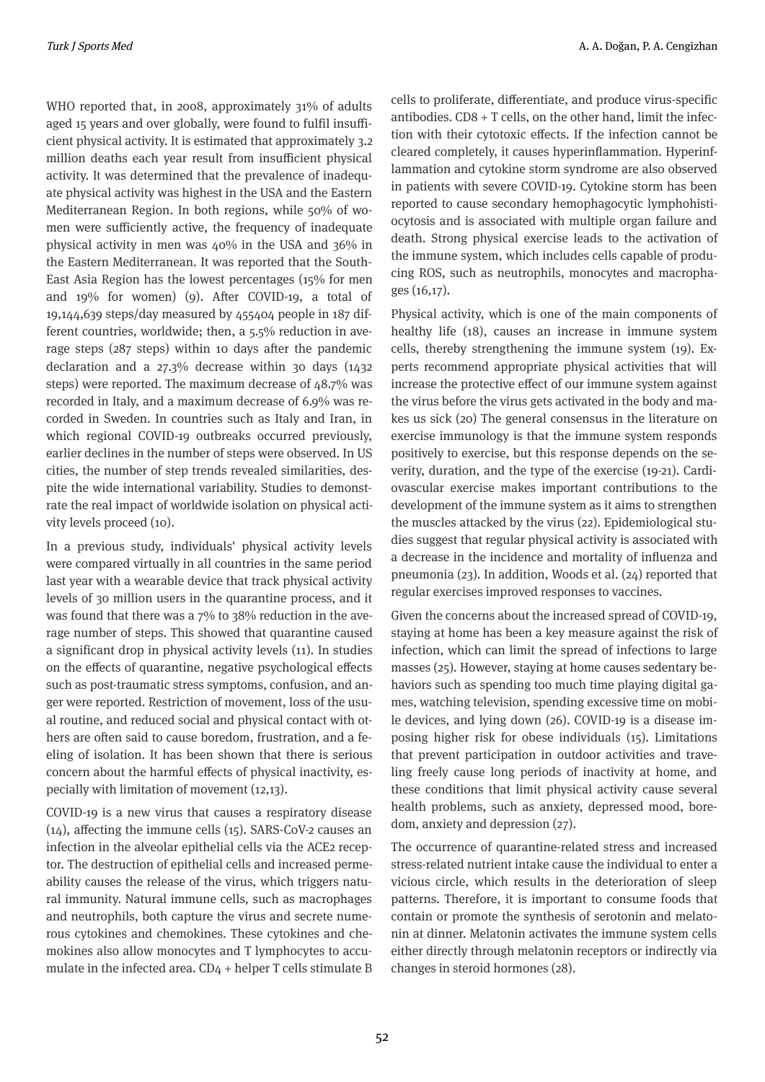WHO reported that, in 2008, approximately  $31\%$  of adults aged 15 years and over globally, were found to fulfil insufficient physical activity. It is estimated that approximately 3.2 million deaths each year result from insufficient physical activity. It was determined that the prevalence of inadequate physical activity was highest in the USA and the Eastern Mediterranean Region. In both regions, while 50% of women were sufficiently active, the frequency of inadequate physical activity in men was  $40\%$  in the USA and  $36\%$  in the Eastern Mediterranean. It was reported that the South-East Asia Region has the lowest percentages  $(15\%$  for men and  $19\%$  for women) (9). After COVID-19, a total of 19,144,639 steps/day measured by 455404 people in 187 different countries, worldwide; then, a  $5.5\%$  reduction in average steps  $(287$  steps) within 10 days after the pandemic declaration and a  $27.3\%$  decrease within 30 days  $(1432)$ steps) were reported. The maximum decrease of  $48.7\%$  was recorded in Italy, and a maximum decrease of 6.9% was recorded in Sweden. In countries such as Italy and Iran, in which regional COVID-19 outbreaks occurred previously, earlier declines in the number of steps were observed. In US cities, the number of step trends revealed similarities, despite the wide international variability. Studies to demonstrate the real impact of worldwide isolation on physical activity levels proceed (10).

In a previous study, individuals' physical activity levels were compared virtually in all countries in the same period last year with a wearable device that track physical activity levels of 30 million users in the quarantine process, and it was found that there was a  $7\%$  to  $38\%$  reduction in the average number of steps. This showed that quarantine caused a significant drop in physical activity levels (11). In studies on the effects of quarantine, negative psychological effects such as post-traumatic stress symptoms, confusion, and anger were reported. Restriction of movement, loss of the usual routine, and reduced social and physical contact with others are often said to cause boredom, frustration, and a feeling of isolation. It has been shown that there is serious concern about the harmful effects of physical inactivity, especially with limitation of movement (12,13).

COVID-19 is a new virus that causes a respiratory disease  $(14)$ , affecting the immune cells  $(15)$ . SARS-CoV-2 causes an infection in the alveolar epithelial cells via the ACE2 receptor. The destruction of epithelial cells and increased permeability causes the release of the virus, which triggers natural immunity. Natural immune cells, such as macrophages and neutrophils, both capture the virus and secrete numerous cytokines and chemokines. These cytokines and chemokines also allow monocytes and T lymphocytes to accumulate in the infected area.  $CD<sub>4</sub>$  + helper T cells stimulate B cells to proliferate, differentiate, and produce virus-specific antibodies.  $CD8 + T$  cells, on the other hand, limit the infection with their cytotoxic effects. If the infection cannot be cleared completely, it causes hyperinflammation. Hyperinflammation and cytokine storm syndrome are also observed in patients with severe COVID-19. Cytokine storm has been reported to cause secondary hemophagocytic lymphohistiocytosis and is associated with multiple organ failure and death. Strong physical exercise leads to the activation of the immune system, which includes cells capable of producing ROS, such as neutrophils, monocytes and macrophages (16,17).

Physical activity, which is one of the main components of healthy life (18), causes an increase in immune system cells, thereby strengthening the immune system  $(q)$ . Experts recommend appropriate physical activities that will increase the protective effect of our immune system against the virus before the virus gets activated in the body and makes us sick (20) The general consensus in the literature on exercise immunology is that the immune system responds positively to exercise, but this response depends on the severity, duration, and the type of the exercise (19-21). Cardiovascular exercise makes important contributions to the development of the immune system as it aims to strengthen the muscles attacked by the virus (22). Epidemiological studies suggest that regular physical activity is associated with a decrease in the incidence and mortality of influenza and pneumonia (23). In addition, Woods et al. (24) reported that regular exercises improved responses to vaccines.

Given the concerns about the increased spread of COVID-19, staying at home has been a key measure against the risk of infection, which can limit the spread of infections to large masses (25). However, staying at home causes sedentary behaviors such as spending too much time playing digital games, watching television, spending excessive time on mobile devices, and lying down (26). COVID-19 is a disease imposing higher risk for obese individuals (15). Limitations that prevent participation in outdoor activities and traveling freely cause long periods of inactivity at home, and these conditions that limit physical activity cause several health problems, such as anxiety, depressed mood, boredom, anxiety and depression (27).

The occurrence of quarantine-related stress and increased stress-related nutrient intake cause the individual to enter a vicious circle, which results in the deterioration of sleep patterns. Therefore, it is important to consume foods that contain or promote the synthesis of serotonin and melatonin at dinner. Melatonin activates the immune system cells either directly through melatonin receptors or indirectly via changes in steroid hormones (28).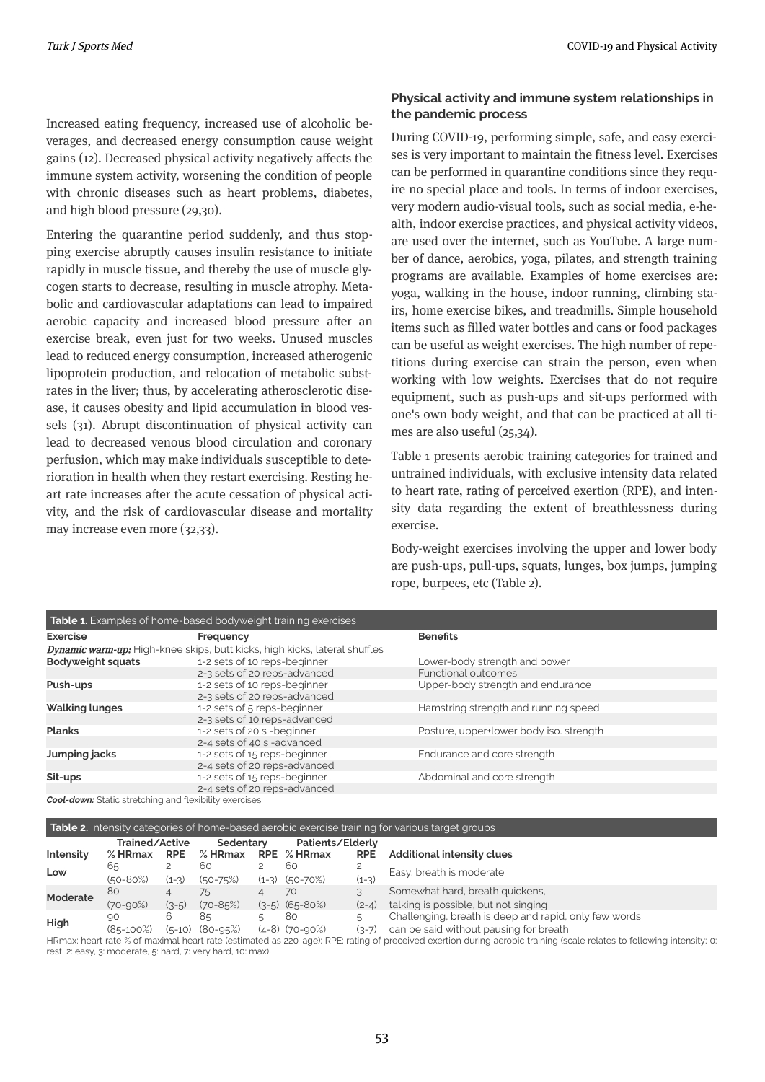Increased eating frequency, increased use of alcoholic beverages, and decreased energy consumption cause weight gains (12). Decreased physical activity negatively affects the immune system activity, worsening the condition of people with chronic diseases such as heart problems, diabetes, and high blood pressure (29,30).

Entering the quarantine period suddenly, and thus stopping exercise abruptly causes insulin resistance to initiate rapidly in muscle tissue, and thereby the use of muscle glycogen starts to decrease, resulting in muscle atrophy. Metabolic and cardiovascular adaptations can lead to impaired aerobic capacity and increased blood pressure after an exercise break, even just for two weeks. Unused muscles lead to reduced energy consumption, increased atherogenic lipoprotein production, and relocation of metabolic substrates in the liver; thus, by accelerating atherosclerotic disease, it causes obesity and lipid accumulation in blood vessels  $(31)$ . Abrupt discontinuation of physical activity can lead to decreased venous blood circulation and coronary perfusion, which may make individuals susceptible to deterioration in health when they restart exercising. Resting heart rate increases after the acute cessation of physical activity, and the risk of cardiovascular disease and mortality may increase even more  $(32,33)$ .

# **Physical activity and immune system relationships in the pandemic process**

During COVID-19, performing simple, safe, and easy exercises is very important to maintain the fitness level. Exercises can be performed in quarantine conditions since they require no special place and tools. In terms of indoor exercises, very modern audio-visual tools, such as social media, e-health, indoor exercise practices, and physical activity videos, are used over the internet, such as YouTube. A large number of dance, aerobics, yoga, pilates, and strength training programs are available. Examples of home exercises are: yoga, walking in the house, indoor running, climbing stairs, home exercise bikes, and treadmills. Simple household tems such as flled water bottles and cans or food packages can be useful as weight exercises. The high number of repetitions during exercise can strain the person, even when working with low weights. Exercises that do not require equipment, such as push-ups and sit-ups performed with one's own body weight, and that can be practiced at all times are also useful (25,34).

Table 1 presents aerobic training categories for trained and untrained individuals, with exclusive intensity data related to heart rate, rating of perceived exertion (RPE), and intensity data regarding the extent of breathlessness during exercise.

Body-weight exercises involving the upper and lower body are push-ups, pull-ups, squats, lunges, box jumps, jumping rope, burpees, etc (Table 2).

| Table 1. Examples of home-based bodyweight training exercises                     |                              |                                         |  |  |  |  |  |  |
|-----------------------------------------------------------------------------------|------------------------------|-----------------------------------------|--|--|--|--|--|--|
| <b>Exercise</b>                                                                   | Frequency                    | <b>Benefits</b>                         |  |  |  |  |  |  |
| <b>Dynamic warm-up:</b> High-knee skips, butt kicks, high kicks, lateral shuffles |                              |                                         |  |  |  |  |  |  |
| <b>Bodyweight squats</b>                                                          | 1-2 sets of 10 reps-beginner | Lower-body strength and power           |  |  |  |  |  |  |
|                                                                                   | 2-3 sets of 20 reps-advanced | <b>Functional outcomes</b>              |  |  |  |  |  |  |
| Push-ups                                                                          | 1-2 sets of 10 reps-beginner | Upper-body strength and endurance       |  |  |  |  |  |  |
|                                                                                   | 2-3 sets of 20 reps-advanced |                                         |  |  |  |  |  |  |
| <b>Walking lunges</b>                                                             | 1-2 sets of 5 reps-beginner  | Hamstring strength and running speed    |  |  |  |  |  |  |
|                                                                                   | 2-3 sets of 10 reps-advanced |                                         |  |  |  |  |  |  |
| <b>Planks</b>                                                                     | 1-2 sets of 20 s -beginner   | Posture, upper+lower body iso. strength |  |  |  |  |  |  |
|                                                                                   | 2-4 sets of 40 s -advanced   |                                         |  |  |  |  |  |  |
| Jumping jacks                                                                     | 1-2 sets of 15 reps-beginner | Endurance and core strength             |  |  |  |  |  |  |
|                                                                                   | 2-4 sets of 20 reps-advanced |                                         |  |  |  |  |  |  |
| Sit-ups                                                                           | 1-2 sets of 15 reps-beginner | Abdominal and core strength             |  |  |  |  |  |  |
|                                                                                   | 2-4 sets of 20 reps-advanced |                                         |  |  |  |  |  |  |
| _ _ _                                                                             |                              |                                         |  |  |  |  |  |  |

*Cool-down:* Static stretching and flexibility exercises

#### **Table 2.** Intensity categories of home-based aerobic exercise training for various target groups

|                                                                                                                                                                       | Trained/Active |            | Sedentary           |  | Patients/Elderly    |            |                                                       |  |
|-----------------------------------------------------------------------------------------------------------------------------------------------------------------------|----------------|------------|---------------------|--|---------------------|------------|-------------------------------------------------------|--|
| Intensity                                                                                                                                                             | $%$ HRmax      | <b>RPE</b> | $%$ HRmax           |  | RPE % HRmax         | <b>RPE</b> | <b>Additional intensity clues</b>                     |  |
| Low                                                                                                                                                                   | 65             |            | 60                  |  | 60                  |            | Easy, breath is moderate                              |  |
|                                                                                                                                                                       | $(50 - 80%)$   | $(1-3)$    | $(50 - 75%)$        |  | $(1-3)$ $(50-70\%)$ | $(1-3)$    |                                                       |  |
| <b>Moderate</b>                                                                                                                                                       | 80             |            | 75                  |  | 70                  |            | Somewhat hard, breath quickens,                       |  |
|                                                                                                                                                                       | $(70 - 90\%)$  | $(3-5)$    | $(70 - 85%)$        |  | $(3-5)$ $(65-80%)$  | $(2-4)$    | talking is possible, but not singing                  |  |
| High                                                                                                                                                                  | .90            | 6          | 85                  |  | 80                  |            | Challenging, breath is deep and rapid, only few words |  |
|                                                                                                                                                                       | $(85-100%)$    |            | $(5-10)$ $(80-95%)$ |  | $(4-8)$ $(70-90\%)$ | $(3-7)$    | can be said without pausing for breath                |  |
| HRmax: heart rate % of maximal heart rate (estimated as 220-age); RPE: rating of preceived exertion during aerobic training (scale relates to following intensity; 0: |                |            |                     |  |                     |            |                                                       |  |

rest, 2: easy, 3: moderate, 5: hard, 7: very hard, 10: max)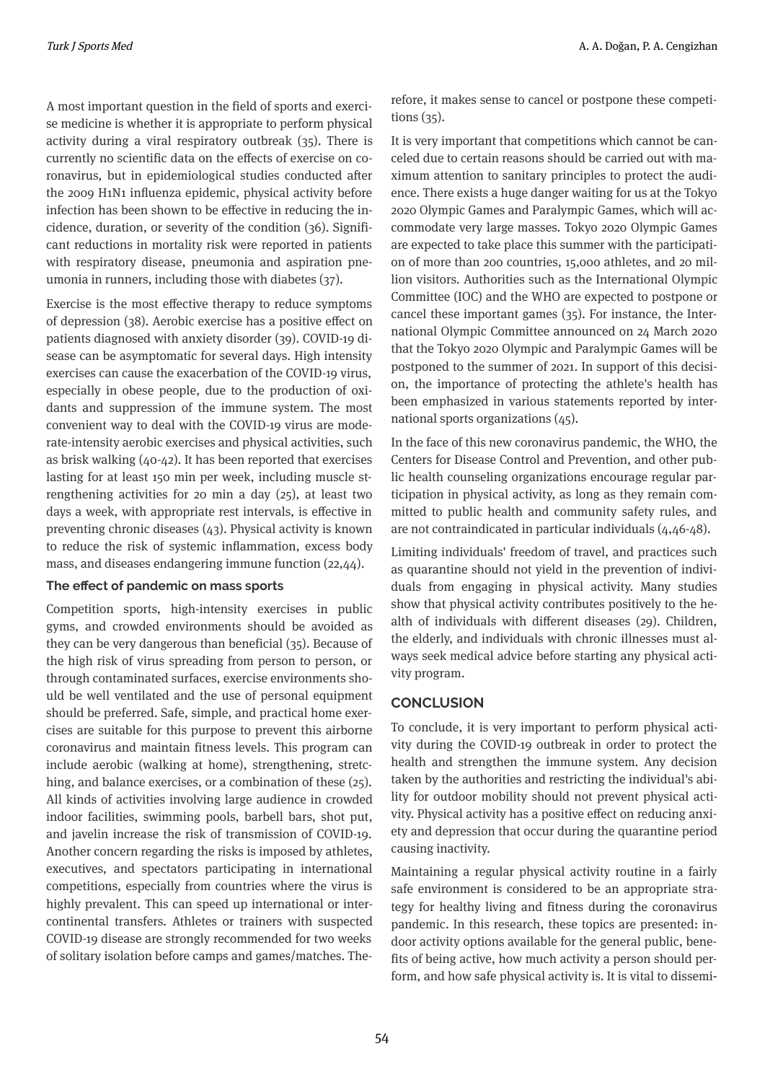A most important question in the field of sports and exercise medicine is whether it is appropriate to perform physical activity during a viral respiratory outbreak  $(35)$ . There is currently no scientific data on the effects of exercise on coronavirus, but in epidemiological studies conducted after the 2009 H1N1 influenza epidemic, physical activity before infection has been shown to be effective in reducing the incidence, duration, or severity of the condition (36). Significant reductions in mortality risk were reported in patients with respiratory disease, pneumonia and aspiration pneumonia in runners, including those with diabetes  $(37)$ .

Exercise is the most effective therapy to reduce symptoms of depression (38). Aerobic exercise has a positive effect on patients diagnosed with anxiety disorder (39). COVID-19 disease can be asymptomatic for several days. High intensity exercises can cause the exacerbation of the COVID-19 virus, especially in obese people, due to the production of oxidants and suppression of the immune system. The most convenient way to deal with the COVID-19 virus are moderate-intensity aerobic exercises and physical activities, such as brisk walking  $(40-42)$ . It has been reported that exercises lasting for at least 150 min per week, including muscle strengthening activities for 20 min a day  $(25)$ , at least two days a week, with appropriate rest intervals, is effective in preventing chronic diseases  $(43)$ . Physical activity is known to reduce the risk of systemic inflammation, excess body mass, and diseases endangering immune function  $(22,44)$ .

## **The effect of pandemic on mass sports**

Competition sports, high-intensity exercises in public gyms, and crowded environments should be avoided as they can be very dangerous than beneficial  $(35)$ . Because of the high risk of virus spreading from person to person, or through contaminated surfaces, exercise environments should be well ventilated and the use of personal equipment should be preferred. Safe, simple, and practical home exercises are suitable for this purpose to prevent this airborne coronavirus and maintain fitness levels. This program can include aerobic (walking at home), strengthening, stretching, and balance exercises, or a combination of these (25). All kinds of activities involving large audience in crowded indoor facilities, swimming pools, barbell bars, shot put, and javelin increase the risk of transmission of COVID-19. Another concern regarding the risks is imposed by athletes, executives, and spectators participating in international competitions, especially from countries where the virus is highly prevalent. This can speed up international or intercontinental transfers. Athletes or trainers with suspected COVID-19 disease are strongly recommended for two weeks of solitary isolation before camps and games/matches. Therefore, it makes sense to cancel or postpone these competitions  $(35)$ .

It is very important that competitions which cannot be canceled due to certain reasons should be carried out with maximum attention to sanitary principles to protect the audience. There exists a huge danger waiting for us at the Tokyo 2020 Olympic Games and Paralympic Games, which will accommodate very large masses. Tokyo 2020 Olympic Games are expected to take place this summer with the participation of more than 200 countries, 15,000 athletes, and 20 million visitors. Authorities such as the International Olympic Commttee (IOC) and the WHO are expected to postpone or cancel these important games  $(35)$ . For instance, the International Olympic Committee announced on 24 March 2020 that the Tokyo 2020 Olympic and Paralympic Games will be postponed to the summer of 2021. In support of this decision, the importance of protecting the athlete's health has been emphasized in various statements reported by international sports organizations  $(45)$ .

In the face of this new coronavirus pandemic, the WHO, the Centers for Disease Control and Prevention, and other public health counseling organizations encourage regular participation in physical activity, as long as they remain committed to public health and community safety rules, and are not contraindicated in particular individuals  $(4,46-48)$ .

Limiting individuals' freedom of travel, and practices such as quarantine should not yield in the prevention of individuals from engaging in physical activity. Many studies show that physical activity contributes positively to the health of individuals with different diseases (29). Children, the elderly, and individuals with chronic illnesses must always seek medical advice before starting any physical activity program.

# **CONCLUSION**

To conclude, it is very important to perform physical activity during the COVID-19 outbreak in order to protect the health and strengthen the immune system. Any decision taken by the authorities and restricting the individual's ability for outdoor mobility should not prevent physical activity. Physical activity has a positive effect on reducing anxiety and depression that occur during the quarantine period causing inactivity.

Maintaining a regular physical activity routine in a fairly safe environment is considered to be an appropriate strategy for healthy living and fitness during the coronavirus pandemic. In this research, these topics are presented: indoor activity options available for the general public, benefits of being active, how much activity a person should perform, and how safe physical activity is. It is vital to dissemi